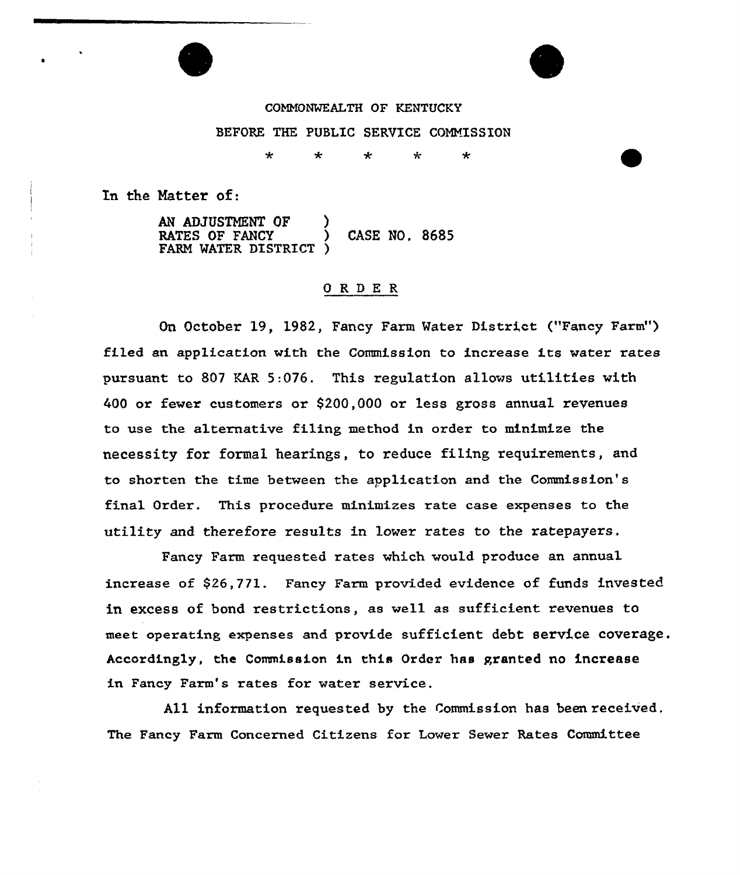COMMONWEALTH OF KENTUCKY BEFORE THE PUBLIC SERVICE COMMISSION

> ÷ ÷ ÷ ÷

In the Natter of:

AN ADJUSTMENT OF RATES OF FANCY (CASE NO, 8685) FARM MATER DISTRICT )

#### ORDE <sup>R</sup>

On October 19, 1982, Fancy Farm Water District ("Fancy Farm") filed an application with the Commission to increase its water rates pursuant to 807 KAR 5:076. This regulation allows utilities with 400 or fewer customers or \$200,000 or less gross annual revenues to use the alternative filing method in order to minimize the necessity for formal hearings, to reduce filing requirements, and to shorten the time between the application and the Commission's final Order. This procedure minimizes rate case expenses to the utility and therefore results in lower rates to the ratepayers.

Fancy Farm requested rates which would produce an annual increase of \$26,771. Fancy Farm provided evidence of funds invested in excess of bond restrictions, as well as sufficient revenues to meet operating expenses and provide sufficient debt service coverage. Accordingly, the Commission in this Order has granted no increase in Fancy Farm's rates for water service.

All information requested by the Commission has been received, The Fancy Farm Concerned Citizens for Lover Sever Rates Committee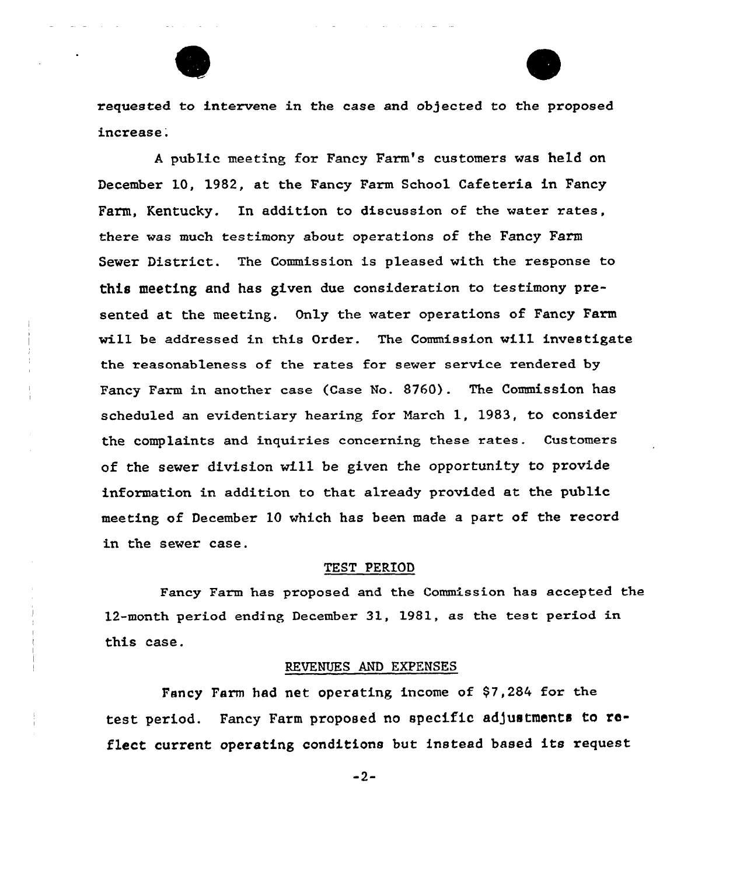

requested to intervene in the case and objected to the proposed increase.

<sup>A</sup> public meeting for Fancy Farm's customers was held on December 10, 1982, at the Fancy Farm School Cafeteria in Fancy Farm, Kentucky. In addition to discussion of the water rates, there was much testimony about operations of the Fancy Farm Sewer District. The Commission is pleased with the response to this meeting and has given due consideration to testimony presented at the meeting. Only the water operations of Fancy Farm will be addressed in this Order. The Commission wi11 investigate the reasonableness of the rates for sewer service rendered by Fancy Farm in another case (Case No. 8760). The Commission has scheduled an evidentiary hearing for March 1, 1983, to consider the complaints and inquiries concerning these rates. Customers of the sewer division will be given the opportunity to provide information in addition to that already provided at the public meeting of December 10 which has been made a part of the record in the sewer case.

#### TEST PERIOD

Fancy Farm has proposed and the Commission has accepted the 12-month period ending December 31, 1981, as the test period in this case.

#### REVENUES AND EXPENSES

Fancy Farm had net operating income of \$7,284 for the test period. Fancy Farm proposed no specific adjustments to reflect current operating conditions but instead based its request

 $-2-$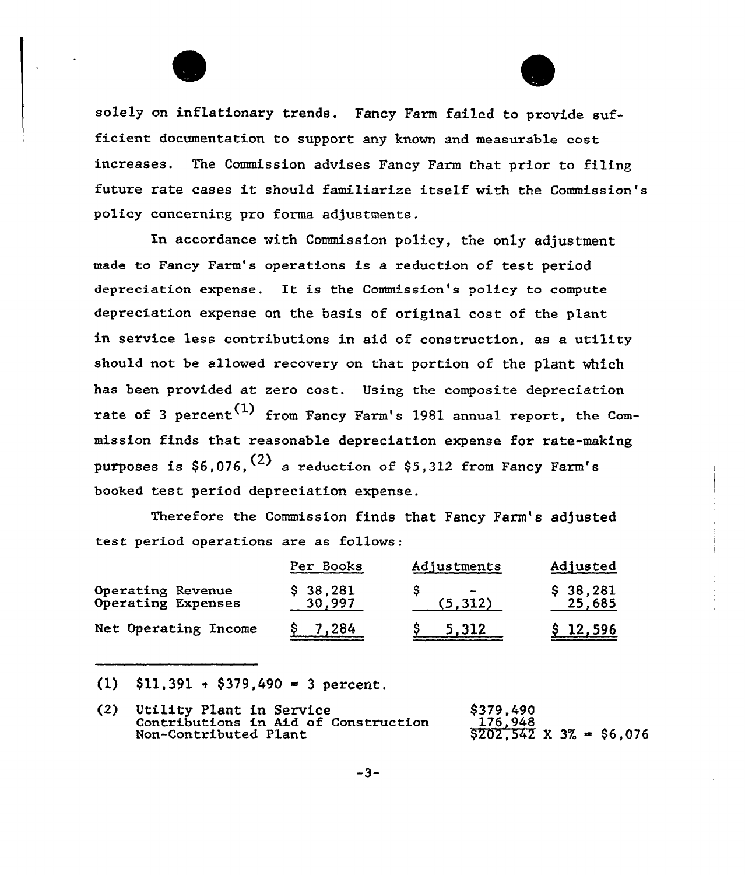solely on inflationary trends. Fancy Farm failed to provide sufficient documentation to support any known and measurable cost increases. The Commission advises Fancy Farm that prior to filing future rate cases it should familiarize itself with the Commission's policy concerning pro forma adjustments.

In accordance with Commission policy, the only adjustment made to Fancy Farm's operations is a reduction of test period depreciation expense. It is the Commission's policy to compute depreciation expense on the basis of original cost of the plant in service less contributions in aid of construction, as a utility should not be allowed recovery on that portion of the plant which has been provided at zero cost. Using the composite depreciation rate of 3 percent<sup>(1)</sup> from Fancy Farm's 1981 annual report, the Commission finds that reasonable depreciation expense for rate-making purposes is \$6,076,  $(2)$  a reduction of \$5,312 from Fancy Farm's booked test period depreciation expense.

Therefore the Commission finds that Fancy Farm's adjusted test period operations are as follows:

|                                         | Per Books          | Adjustments                          | Adjusted           |
|-----------------------------------------|--------------------|--------------------------------------|--------------------|
| Operating Revenue<br>Operating Expenses | \$38,281<br>30,997 | $\overline{\phantom{a}}$<br>(5, 312) | \$38,281<br>25,685 |
| Net Operating Income                    | 7,284              | 5.312                                | \$12,596           |

 $(1)$  \$11,391 + \$379,490 = 3 percent.

| (2) | Utility Plant in Service             | \$379,490                      |
|-----|--------------------------------------|--------------------------------|
|     | Contributions in Aid of Construction | 176.948                        |
|     | Non-Contributed Plant                | $$202,542 \times 3\% = $6,076$ |

 $-3-$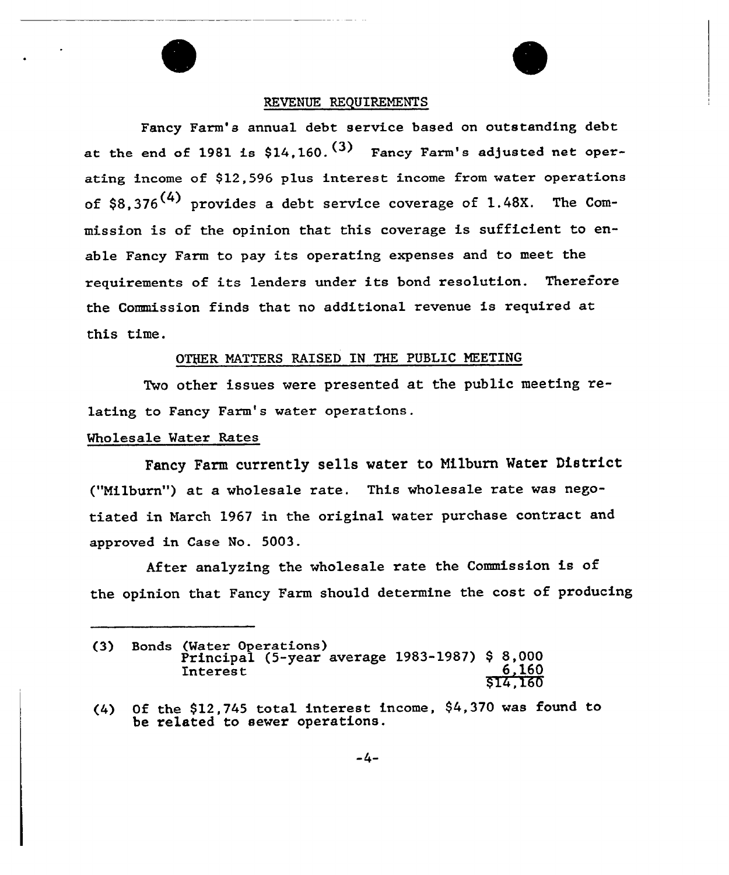## REVENUE REQUIREMENTS

Fancy Farm's annual debt service based on outstanding debt at the end of 1981 is  $$14.160$ .<sup>(3)</sup> Fancy Farm's adjusted net operating income of \$12,596 plus interest income from water operations of \$8.376<sup>(4)</sup> provides a debt service coverage of 1.48X. The Commission is of the opinion that this coverage is sufficient to enable Fancy Farm to pay its operating expenses and to meet the requirements of its lenders under its bond resolution. Therefore the Commission finds that no additional revenue is required at this time.

## OTHER MATTERS RAISED IN THE PUBLIC MEETING

Two other issues were presented at the public meeting relating to Fancy Farm's water operations.

# Wholesale Mater Rates

Fancy Farm currently sells water to Nilburn Mater District {"Nilburn") at a wholesale rate. This wholesale rate was negotiated in March 1967 in the original water purchase contract and approved in Case No. 5003.

After analyzing the wholesale rate the Commission is of the opinion that Fancy Farm should determine the cost of producing

<sup>(3)</sup> Bonds (Mater Operations) Principal {5-year average 1983-1987) \$ 8,000 Interest  $\begin{array}{c} 6,160 \\ 6,160 \end{array}$ 6,160<br>\$14,160

<sup>(4)</sup> Of the 912,745 total interest income, 94,370 was found to be related to sewer operations.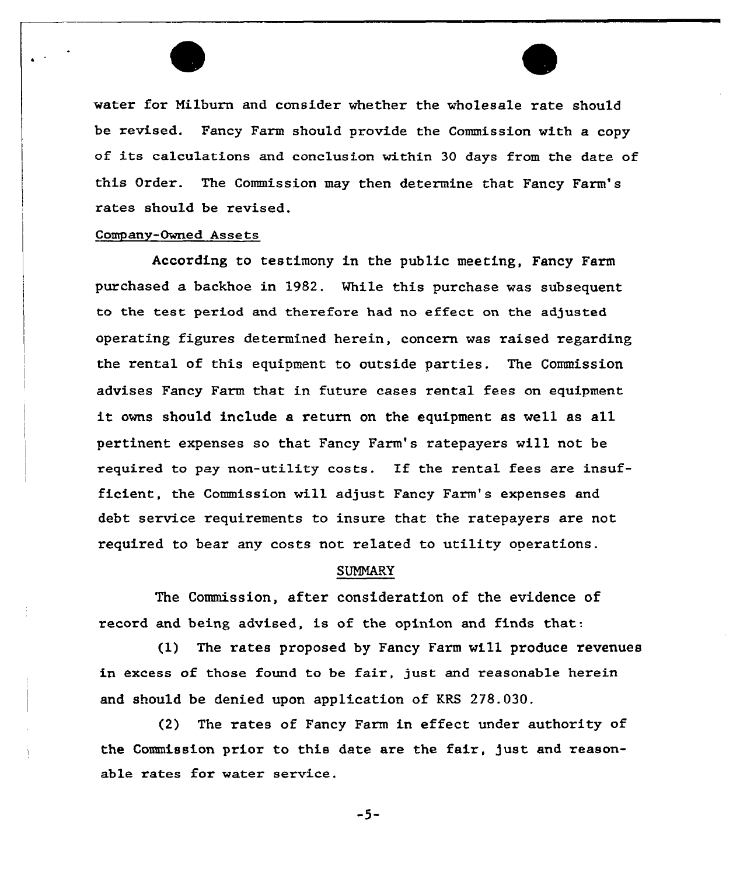water for Nilburn and consider whether the wholesale rate should be revised. Fancy Farm should provide the Commission with a copy of its calculations and conclusion within <sup>30</sup> days from the date of this Order. The Commission may then determine that Fancy Farm's rates should be revised.

## Company-Owned Assets

According to testimony in the public meeting, Fancy Farm purchased a backhoe in 1982. While this purchase was subsequent to the test period and therefore had no effect on the adjusted operating figures determined herein, concern was raised regarding the rental of this equipment to outside parties. The Commission advises Fancy Farm that in futuxe cases rental fees on equipment it owns should include <sup>a</sup> return on the equipment as well as all pertinent expenses so that Fancy Farm's ratepayers will not be required to pay non-utility costs. If the rental fees are insufficient, the Commission will adjust Fancy Farm's expenses and debt service requirements to insure that the ratepayers are not required to bear any costs not related to utility operations.

## SUMMARY

The Commission, after consideration of the evidence of record and being advised, is of the opinion and finds that:

(1) The rates proposed by Fancy Farm will produce revenues in excess of those found to be fair, just and reasonable herein and should be denied upon application of KRS 278.030.

(2) The rates of Fancy Farm in effect under authority of the Commission prior to this date are the fair, just and reasonable rates for water service.

 $-5-$